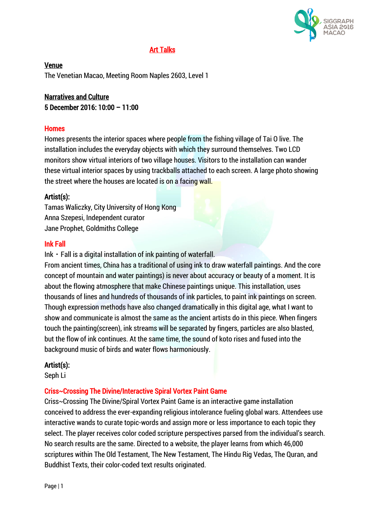

# Art Talks

Venue The Venetian Macao, Meeting Room Naples 2603, Level 1

# Narratives and Culture 5 December 2016: 10:00 – 11:00

### **Homes**

Homes presents the interior spaces where people from the fishing village of Tai O live. The installation includes the everyday objects with which they surround themselves. Two LCD monitors show virtual interiors of two village houses. Visitors to the installation can wander these virtual interior spaces by using trackballs attached to each screen. A large photo showing the street where the houses are located is on a facing wall.

## Artist(s):

Tamas Waliczky, City University of Hong Kong Anna Szepesi, Independent curator Jane Prophet, Goldmiths College

### Ink Fall

Ink  $\cdot$  Fall is a digital installation of ink painting of waterfall.

From ancient times, China has a traditional of using ink to draw waterfall paintings. And the core concept of mountain and water paintings) is never about accuracy or beauty of a moment. It is about the flowing atmosphere that make Chinese paintings unique. This installation, uses thousands of lines and hundreds of thousands of ink particles, to paint ink paintings on screen. Though expression methods have also changed dramatically in this digital age, what I want to show and communicate is almost the same as the ancient artists do in this piece. When fingers touch the painting(screen), ink streams will be separated by fingers, particles are also blasted, but the flow of ink continues. At the same time, the sound of koto rises and fused into the background music of birds and water flows harmoniously.

### Artist(s):

Seph Li

# Criss~Crossing The Divine/Interactive Spiral Vortex Paint Game

Criss~Crossing The Divine/Spiral Vortex Paint Game is an interactive game installation conceived to address the ever-expanding religious intolerance fueling global wars. Attendees use interactive wands to curate topic-words and assign more or less importance to each topic they select. The player receives color coded scripture perspectives parsed from the individual's search. No search results are the same. Directed to a website, the player learns from which 46,000 scriptures within The Old Testament, The New Testament, The Hindu Rig Vedas, The Quran, and Buddhist Texts, their color-coded text results originated.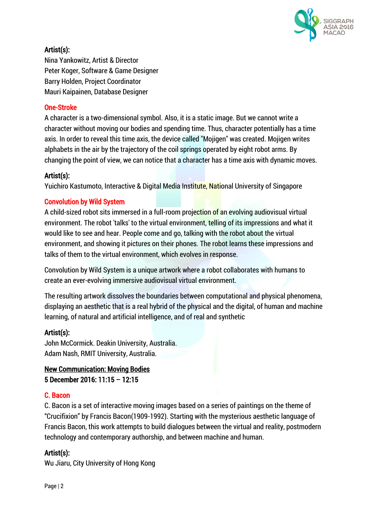

# Artist(s):

Nina Yankowitz, Artist & Director Peter Koger, Software & Game Designer Barry Holden, Project Coordinator Mauri Kaipainen, Database Designer

# One-Stroke

A character is a two-dimensional symbol. Also, it is a static image. But we cannot write a character without moving our bodies and spending time. Thus, character potentially has a time axis. In order to reveal this time axis, the device called "Mojigen" was created. Mojigen writes alphabets in the air by the trajectory of the coil springs operated by eight robot arms. By changing the point of view, we can notice that a character has a time axis with dynamic moves.

# Artist(s):

Yuichiro Kastumoto, Interactive & Digital Media Institute, National University of Singapore

## Convolution by Wild System

A child-sized robot sits immersed in a full-room projection of an evolving audiovisual virtual environment. The robot 'talks' to the virtual environment, telling of its impressions and what it would like to see and hear. People come and go, talking with the robot about the virtual environment, and showing it pictures on their phones. The robot learns these impressions and talks of them to the virtual environment, which evolves in response.

Convolution by Wild System is a unique artwork where a robot collaborates with humans to create an ever-evolving immersive audiovisual virtual environment.

The resulting artwork dissolves the boundaries between computational and physical phenomena, displaying an aesthetic that is a real hybrid of the physical and the digital, of human and machine learning, of natural and artificial intelligence, and of real and synthetic

# Artist(s):

John McCormick. Deakin University, Australia. Adam Nash, RMIT University, Australia.

# New Communication: Moving Bodies 5 December 2016: 11:15 – 12:15

### C. Bacon

C. Bacon is a set of interactive moving images based on a series of paintings on the theme of "Crucifixion" by Francis Bacon(1909-1992). Starting with the mysterious aesthetic language of Francis Bacon, this work attempts to build dialogues between the virtual and reality, postmodern technology and contemporary authorship, and between machine and human.

# Artist(s):

Wu Jiaru, City University of Hong Kong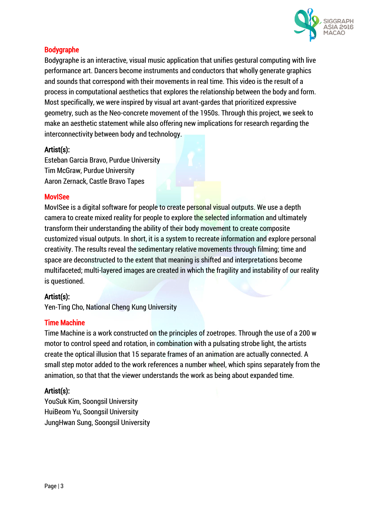

# Bodygraphe

Bodygraphe is an interactive, visual music application that unifies gestural computing with live performance art. Dancers become instruments and conductors that wholly generate graphics and sounds that correspond with their movements in real time. This video is the result of a process in computational aesthetics that explores the relationship between the body and form. Most specifically, we were inspired by visual art avant-gardes that prioritized expressive geometry, such as the Neo-concrete movement of the 1950s. Through this project, we seek to make an aesthetic statement while also offering new implications for research regarding the interconnectivity between body and technology.

## Artist(s):

Esteban Garcia Bravo, Purdue University Tim McGraw, Purdue University Aaron Zernack, Castle Bravo Tapes

## MovISee

MovISee is a digital software for people to create personal visual outputs. We use a depth camera to create mixed reality for people to explore the selected information and ultimately transform their understanding the ability of their body movement to create composite customized visual outputs. In short, it is a system to recreate information and explore personal creativity. The results reveal the sedimentary relative movements through filming; time and space are deconstructed to the extent that meaning is shifted and interpretations become multifaceted; multi-layered images are created in which the fragility and instability of our reality is questioned.

# Artist(s):

Yen-Ting Cho, National Cheng Kung University

### Time Machine

Time Machine is a work constructed on the principles of zoetropes. Through the use of a 200 w motor to control speed and rotation, in combination with a pulsating strobe light, the artists create the optical illusion that 15 separate frames of an animation are actually connected. A small step motor added to the work references a number wheel, which spins separately from the animation, so that that the viewer understands the work as being about expanded time.

# Artist(s):

YouSuk Kim, Soongsil University HuiBeom Yu, Soongsil University JungHwan Sung, Soongsil University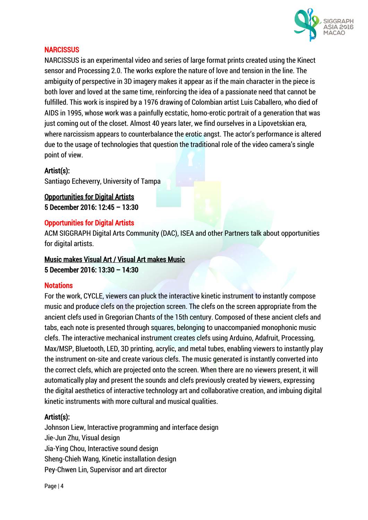

### **NARCISSUS**

NARCISSUS is an experimental video and series of large format prints created using the Kinect sensor and Processing 2.0. The works explore the nature of love and tension in the line. The ambiguity of perspective in 3D imagery makes it appear as if the main character in the piece is both lover and loved at the same time, reinforcing the idea of a passionate need that cannot be fulfilled. This work is inspired by a 1976 drawing of Colombian artist Luis Caballero, who died of AIDS in 1995, whose work was a painfully ecstatic, homo-erotic portrait of a generation that was just coming out of the closet. Almost 40 years later, we find ourselves in a Lipovetskian era, where narcissism appears to counterbalance the erotic angst. The actor's performance is altered due to the usage of technologies that question the traditional role of the video camera's single point of view.

## Artist(s):

Santiago Echeverry, University of Tampa

Opportunities for Digital Artists 5 December 2016: 12:45 – 13:30

## Opportunities for Digital Artists

ACM SIGGRAPH Digital Arts Community (DAC), ISEA and other Partners talk about opportunities for digital artists.

# Music makes Visual Art / Visual Art makes Music 5 December 2016: 13:30 – 14:30

### **Notations**

For the work, CYCLE, viewers can pluck the interactive kinetic instrument to instantly compose music and produce clefs on the projection screen. The clefs on the screen appropriate from the ancient clefs used in Gregorian Chants of the 15th century. Composed of these ancient clefs and tabs, each note is presented through squares, belonging to unaccompanied monophonic music clefs. The interactive mechanical instrument creates clefs using Arduino, Adafruit, Processing, Max/MSP, Bluetooth, LED, 3D printing, acrylic, and metal tubes, enabling viewers to instantly play the instrument on-site and create various clefs. The music generated is instantly converted into the correct clefs, which are projected onto the screen. When there are no viewers present, it will automatically play and present the sounds and clefs previously created by viewers, expressing the digital aesthetics of interactive technology art and collaborative creation, and imbuing digital kinetic instruments with more cultural and musical qualities.

# Artist(s):

Johnson Liew, Interactive programming and interface design Jie-Jun Zhu, Visual design Jia-Ying Chou, Interactive sound design Sheng-Chieh Wang, Kinetic installation design Pey-Chwen Lin, Supervisor and art director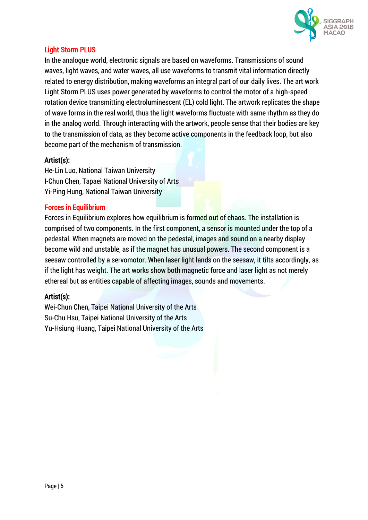

## Light Storm PLUS

In the analogue world, electronic signals are based on waveforms. Transmissions of sound waves, light waves, and water waves, all use waveforms to transmit vital information directly related to energy distribution, making waveforms an integral part of our daily lives. The art work Light Storm PLUS uses power generated by waveforms to control the motor of a high-speed rotation device transmitting electroluminescent (EL) cold light. The artwork replicates the shape of wave forms in the real world, thus the light waveforms fluctuate with same rhythm as they do in the analog world. Through interacting with the artwork, people sense that their bodies are key to the transmission of data, as they become active components in the feedback loop, but also become part of the mechanism of transmission.

## Artist(s):

He-Lin Luo, National Taiwan University I-Chun Chen, Tapaei National University of Arts Yi-Ping Hung, National Taiwan University

### Forces in Equilibrium

Forces in Equilibrium explores how equilibrium is formed out of chaos. The installation is comprised of two components. In the first component, a sensor is mounted under the top of a pedestal. When magnets are moved on the pedestal, images and sound on a nearby display become wild and unstable, as if the magnet has unusual powers. The second component is a seesaw controlled by a servomotor. When laser light lands on the seesaw, it tilts accordingly, as if the light has weight. The art works show both magnetic force and laser light as not merely ethereal but as entities capable of affecting images, sounds and movements.

### Artist(s):

Wei-Chun Chen, Taipei National University of the Arts Su-Chu Hsu, Taipei National University of the Arts Yu-Hsiung Huang, Taipei National University of the Arts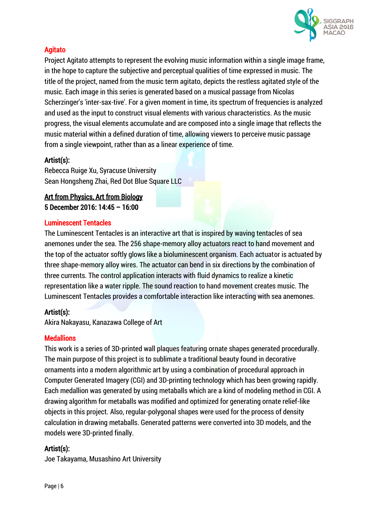

# Agitato

Project Agitato attempts to represent the evolving music information within a single image frame, in the hope to capture the subjective and perceptual qualities of time expressed in music. The title of the project, named from the music term agitato, depicts the restless agitated style of the music. Each image in this series is generated based on a musical passage from Nicolas Scherzinger's 'inter-sax-tive'. For a given moment in time, its spectrum of frequencies is analyzed and used as the input to construct visual elements with various characteristics. As the music progress, the visual elements accumulate and are composed into a single image that reflects the music material within a defined duration of time, allowing viewers to perceive music passage from a single viewpoint, rather than as a linear experience of time.

# Artist(s):

Rebecca Ruige Xu, Syracuse University Sean Hongsheng Zhai, Red Dot Blue Square LLC

# Art from Physics, Art from Biology 5 December 2016: 14:45 – 16:00

## Luminescent Tentacles

The Luminescent Tentacles is an interactive art that is inspired by waving tentacles of sea anemones under the sea. The 256 shape-memory alloy actuators react to hand movement and the top of the actuator softly glows like a bioluminescent organism. Each actuator is actuated by three shape-memory alloy wires. The actuator can bend in six directions by the combination of three currents. The control application interacts with fluid dynamics to realize a kinetic representation like a water ripple. The sound reaction to hand movement creates music. The Luminescent Tentacles provides a comfortable interaction like interacting with sea anemones.

# Artist(s):

Akira Nakayasu, Kanazawa College of Art

### **Medallions**

This work is a series of 3D-printed wall plaques featuring ornate shapes generated procedurally. The main purpose of this project is to sublimate a traditional beauty found in decorative ornaments into a modern algorithmic art by using a combination of procedural approach in Computer Generated Imagery (CGI) and 3D-printing technology which has been growing rapidly. Each medallion was generated by using metaballs which are a kind of modeling method in CGI. A drawing algorithm for metaballs was modified and optimized for generating ornate relief-like objects in this project. Also, regular-polygonal shapes were used for the process of density calculation in drawing metaballs. Generated patterns were converted into 3D models, and the models were 3D-printed finally.

# Artist(s):

Joe Takayama, Musashino Art University